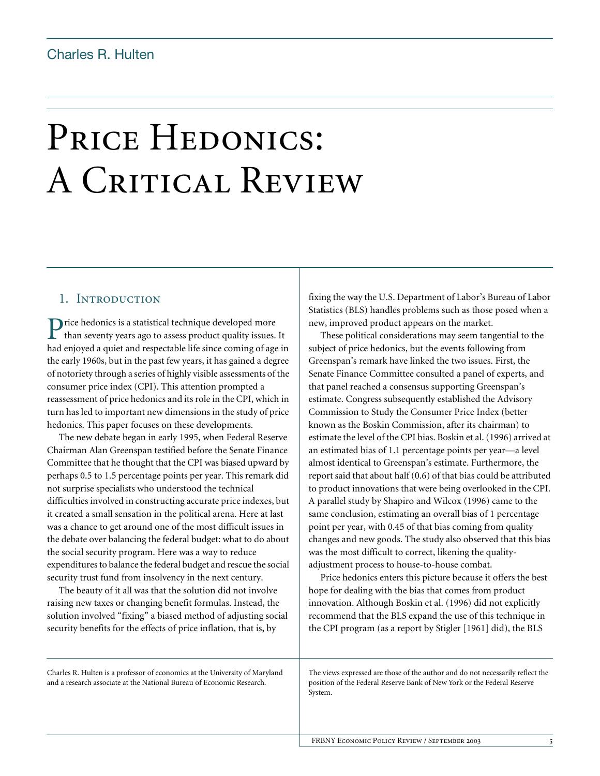# PRICE HEDONICS: A CRITICAL REVIEW

## 1. INTRODUCTION

rice hedonics is a statistical technique developed more Price hedonics is a statistical technique developed more<br>than seventy years ago to assess product quality issues. It had enjoyed a quiet and respectable life since coming of age in the early 1960s, but in the past few years, it has gained a degree of notoriety through a series of highly visible assessments of the consumer price index (CPI). This attention prompted a reassessment of price hedonics and its role in the CPI, which in turn has led to important new dimensions in the study of price hedonics. This paper focuses on these developments.

The new debate began in early 1995, when Federal Reserve Chairman Alan Greenspan testified before the Senate Finance Committee that he thought that the CPI was biased upward by perhaps 0.5 to 1.5 percentage points per year. This remark did not surprise specialists who understood the technical difficulties involved in constructing accurate price indexes, but it created a small sensation in the political arena. Here at last was a chance to get around one of the most difficult issues in the debate over balancing the federal budget: what to do about the social security program. Here was a way to reduce expenditures to balance the federal budget and rescue the social security trust fund from insolvency in the next century.

The beauty of it all was that the solution did not involve raising new taxes or changing benefit formulas. Instead, the solution involved "fixing" a biased method of adjusting social security benefits for the effects of price inflation, that is, by

fixing the way the U.S. Department of Labor's Bureau of Labor Statistics (BLS) handles problems such as those posed when a new, improved product appears on the market.

These political considerations may seem tangential to the subject of price hedonics, but the events following from Greenspan's remark have linked the two issues. First, the Senate Finance Committee consulted a panel of experts, and that panel reached a consensus supporting Greenspan's estimate. Congress subsequently established the Advisory Commission to Study the Consumer Price Index (better known as the Boskin Commission, after its chairman) to estimate the level of the CPI bias. Boskin et al. (1996) arrived at an estimated bias of 1.1 percentage points per year—a level almost identical to Greenspan's estimate. Furthermore, the report said that about half (0.6) of that bias could be attributed to product innovations that were being overlooked in the CPI. A parallel study by Shapiro and Wilcox (1996) came to the same conclusion, estimating an overall bias of 1 percentage point per year, with 0.45 of that bias coming from quality changes and new goods. The study also observed that this bias was the most difficult to correct, likening the qualityadjustment process to house-to-house combat.

Price hedonics enters this picture because it offers the best hope for dealing with the bias that comes from product innovation. Although Boskin et al. (1996) did not explicitly recommend that the BLS expand the use of this technique in the CPI program (as a report by Stigler [1961] did), the BLS

Charles R. Hulten is a professor of economics at the University of Maryland and a research associate at the National Bureau of Economic Research.

The views expressed are those of the author and do not necessarily reflect the position of the Federal Reserve Bank of New York or the Federal Reserve System.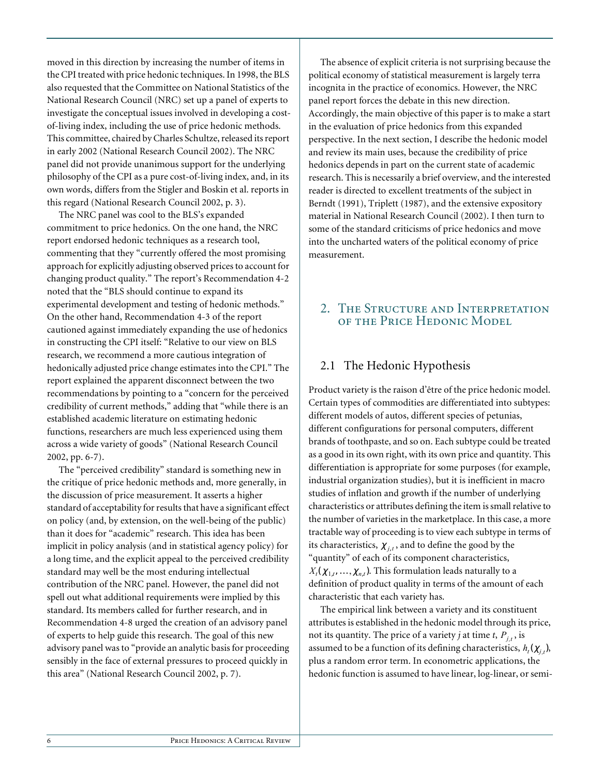moved in this direction by increasing the number of items in the CPI treated with price hedonic techniques. In 1998, the BLS also requested that the Committee on National Statistics of the National Research Council (NRC) set up a panel of experts to investigate the conceptual issues involved in developing a costof-living index, including the use of price hedonic methods. This committee, chaired by Charles Schultze, released its report in early 2002 (National Research Council 2002). The NRC panel did not provide unanimous support for the underlying philosophy of the CPI as a pure cost-of-living index, and, in its own words, differs from the Stigler and Boskin et al. reports in this regard (National Research Council 2002, p. 3).

The NRC panel was cool to the BLS's expanded commitment to price hedonics. On the one hand, the NRC report endorsed hedonic techniques as a research tool, commenting that they "currently offered the most promising approach for explicitly adjusting observed prices to account for changing product quality." The report's Recommendation 4-2 noted that the "BLS should continue to expand its experimental development and testing of hedonic methods." On the other hand, Recommendation 4-3 of the report cautioned against immediately expanding the use of hedonics in constructing the CPI itself: "Relative to our view on BLS research, we recommend a more cautious integration of hedonically adjusted price change estimates into the CPI." The report explained the apparent disconnect between the two recommendations by pointing to a "concern for the perceived credibility of current methods," adding that "while there is an established academic literature on estimating hedonic functions, researchers are much less experienced using them across a wide variety of goods" (National Research Council 2002, pp. 6-7).

The "perceived credibility" standard is something new in the critique of price hedonic methods and, more generally, in the discussion of price measurement. It asserts a higher standard of acceptability for results that have a significant effect on policy (and, by extension, on the well-being of the public) than it does for "academic" research. This idea has been implicit in policy analysis (and in statistical agency policy) for a long time, and the explicit appeal to the perceived credibility standard may well be the most enduring intellectual contribution of the NRC panel. However, the panel did not spell out what additional requirements were implied by this standard. Its members called for further research, and in Recommendation 4-8 urged the creation of an advisory panel of experts to help guide this research. The goal of this new advisory panel was to "provide an analytic basis for proceeding sensibly in the face of external pressures to proceed quickly in this area" (National Research Council 2002, p. 7).

The absence of explicit criteria is not surprising because the political economy of statistical measurement is largely terra incognita in the practice of economics. However, the NRC panel report forces the debate in this new direction. Accordingly, the main objective of this paper is to make a start in the evaluation of price hedonics from this expanded perspective. In the next section, I describe the hedonic model and review its main uses, because the credibility of price hedonics depends in part on the current state of academic research. This is necessarily a brief overview, and the interested reader is directed to excellent treatments of the subject in Berndt (1991), Triplett (1987), and the extensive expository material in National Research Council (2002). I then turn to some of the standard criticisms of price hedonics and move into the uncharted waters of the political economy of price measurement.

# 2. The Structure and Interpretation of the Price Hedonic Model

# 2.1 The Hedonic Hypothesis

Product variety is the raison d'être of the price hedonic model. Certain types of commodities are differentiated into subtypes: different models of autos, different species of petunias, different configurations for personal computers, different brands of toothpaste, and so on. Each subtype could be treated as a good in its own right, with its own price and quantity. This differentiation is appropriate for some purposes (for example, industrial organization studies), but it is inefficient in macro studies of inflation and growth if the number of underlying characteristics or attributes defining the item is small relative to the number of varieties in the marketplace. In this case, a more tractable way of proceeding is to view each subtype in terms of its characteristics,  $\chi_{j,t}$ , and to define the good by the "quantity" of each of its component characteristics,  $X_t(\chi_{1,t},\ldots,\chi_{n,t})$ . This formulation leads naturally to a definition of product quality in terms of the amount of each characteristic that each variety has.

The empirical link between a variety and its constituent attributes is established in the hedonic model through its price, not its quantity. The price of a variety *j* at time *t*,  $P_{j,t}$ , is assumed to be a function of its defining characteristics,  $h_t(\chi_{j,t})$ , plus a random error term. In econometric applications, the hedonic function is assumed to have linear, log-linear, or semi-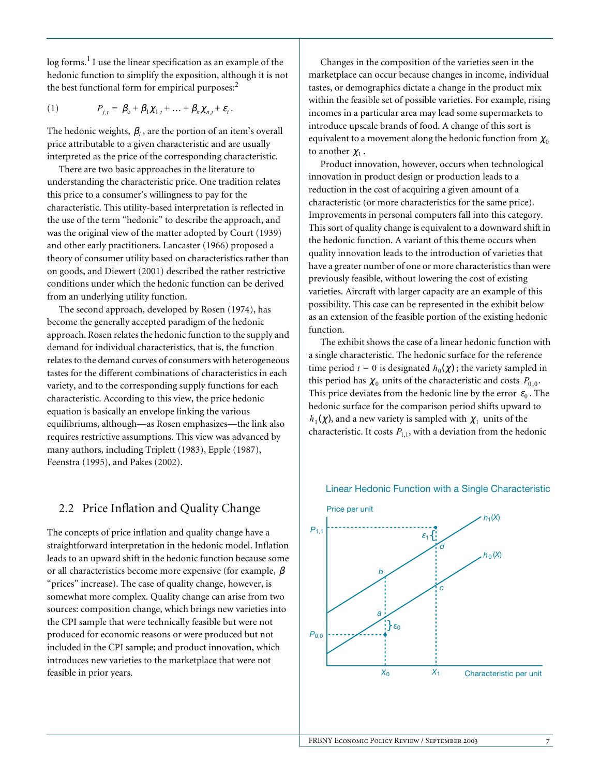log forms.<sup>1</sup> I use the linear specification as an example of the hedonic function to simplify the exposition, although it is not the best functional form for empirical purposes: $<sup>2</sup>$ </sup>

$$
(1) \tP_{j,t} = \beta_0 + \beta_1 \chi_{1,t} + \ldots + \beta_n \chi_{n,t} + \varepsilon_t.
$$

The hedonic weights,  $\beta_i$ , are the portion of an item's overall price attributable to a given characteristic and are usually interpreted as the price of the corresponding characteristic.

There are two basic approaches in the literature to understanding the characteristic price. One tradition relates this price to a consumer's willingness to pay for the characteristic. This utility-based interpretation is reflected in the use of the term "hedonic" to describe the approach, and was the original view of the matter adopted by Court (1939) and other early practitioners. Lancaster (1966) proposed a theory of consumer utility based on characteristics rather than on goods, and Diewert (2001) described the rather restrictive conditions under which the hedonic function can be derived from an underlying utility function.

The second approach, developed by Rosen (1974), has become the generally accepted paradigm of the hedonic approach. Rosen relates the hedonic function to the supply and demand for individual characteristics, that is, the function relates to the demand curves of consumers with heterogeneous tastes for the different combinations of characteristics in each variety, and to the corresponding supply functions for each characteristic. According to this view, the price hedonic equation is basically an envelope linking the various equilibriums, although—as Rosen emphasizes—the link also requires restrictive assumptions. This view was advanced by many authors, including Triplett (1983), Epple (1987), Feenstra (1995), and Pakes (2002).

## 2.2 Price Inflation and Quality Change

The concepts of price inflation and quality change have a straightforward interpretation in the hedonic model. Inflation leads to an upward shift in the hedonic function because some or all characteristics become more expensive (for example,  $\beta$ "prices" increase). The case of quality change, however, is somewhat more complex. Quality change can arise from two sources: composition change, which brings new varieties into the CPI sample that were technically feasible but were not produced for economic reasons or were produced but not included in the CPI sample; and product innovation, which introduces new varieties to the marketplace that were not feasible in prior years.

Changes in the composition of the varieties seen in the marketplace can occur because changes in income, individual tastes, or demographics dictate a change in the product mix within the feasible set of possible varieties. For example, rising incomes in a particular area may lead some supermarkets to introduce upscale brands of food. A change of this sort is equivalent to a movement along the hedonic function from  $\chi_0$ to another  $\chi_1$ .

Product innovation, however, occurs when technological innovation in product design or production leads to a reduction in the cost of acquiring a given amount of a characteristic (or more characteristics for the same price). Improvements in personal computers fall into this category. This sort of quality change is equivalent to a downward shift in the hedonic function. A variant of this theme occurs when quality innovation leads to the introduction of varieties that have a greater number of one or more characteristics than were previously feasible, without lowering the cost of existing varieties. Aircraft with larger capacity are an example of this possibility. This case can be represented in the exhibit below as an extension of the feasible portion of the existing hedonic function.

The exhibit shows the case of a linear hedonic function with a single characteristic. The hedonic surface for the reference time period  $t = 0$  is designated  $h_0(\chi)$ ; the variety sampled in this period has  $\chi_0$  units of the characteristic and costs  $P_{0,0}$ . This price deviates from the hedonic line by the error  $\varepsilon_0$ . The hedonic surface for the comparison period shifts upward to  $h_1(\chi)$ , and a new variety is sampled with  $\chi_1$  units of the characteristic. It costs  $P_{1,1}$ , with a deviation from the hedonic



#### Linear Hedonic Function with a Single Characteristic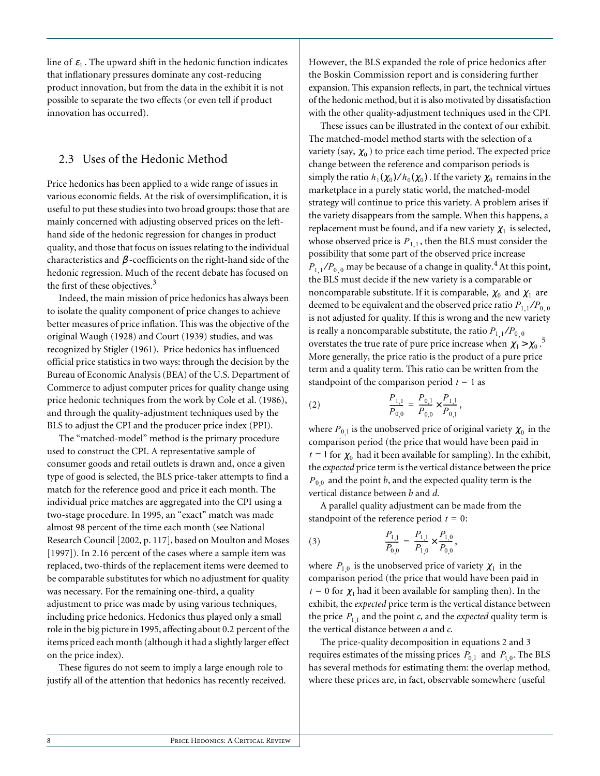line of  $\varepsilon_1$ . The upward shift in the hedonic function indicates that inflationary pressures dominate any cost-reducing product innovation, but from the data in the exhibit it is not possible to separate the two effects (or even tell if product innovation has occurred).

## 2.3 Uses of the Hedonic Method

Price hedonics has been applied to a wide range of issues in various economic fields. At the risk of oversimplification, it is useful to put these studies into two broad groups: those that are mainly concerned with adjusting observed prices on the lefthand side of the hedonic regression for changes in product quality, and those that focus on issues relating to the individual characteristics and  $\beta$  -coefficients on the right-hand side of the hedonic regression. Much of the recent debate has focused on the first of these objectives.<sup>3</sup>

Indeed, the main mission of price hedonics has always been to isolate the quality component of price changes to achieve better measures of price inflation. This was the objective of the original Waugh (1928) and Court (1939) studies, and was recognized by Stigler (1961). Price hedonics has influenced official price statistics in two ways: through the decision by the Bureau of Economic Analysis (BEA) of the U.S. Department of Commerce to adjust computer prices for quality change using price hedonic techniques from the work by Cole et al. (1986), and through the quality-adjustment techniques used by the BLS to adjust the CPI and the producer price index (PPI).

The "matched-model" method is the primary procedure used to construct the CPI. A representative sample of consumer goods and retail outlets is drawn and, once a given type of good is selected, the BLS price-taker attempts to find a match for the reference good and price it each month. The individual price matches are aggregated into the CPI using a two-stage procedure. In 1995, an "exact" match was made almost 98 percent of the time each month (see National Research Council [2002, p. 117], based on Moulton and Moses [1997]). In 2.16 percent of the cases where a sample item was replaced, two-thirds of the replacement items were deemed to be comparable substitutes for which no adjustment for quality was necessary. For the remaining one-third, a quality adjustment to price was made by using various techniques, including price hedonics. Hedonics thus played only a small role in the big picture in 1995, affecting about 0.2 percent of the items priced each month (although it had a slightly larger effect on the price index).

These figures do not seem to imply a large enough role to justify all of the attention that hedonics has recently received. However, the BLS expanded the role of price hedonics after the Boskin Commission report and is considering further expansion. This expansion reflects, in part, the technical virtues of the hedonic method, but it is also motivated by dissatisfaction with the other quality-adjustment techniques used in the CPI.

These issues can be illustrated in the context of our exhibit. The matched-model method starts with the selection of a variety (say,  $\chi_0$  ) to price each time period. The expected price change between the reference and comparison periods is simply the ratio  $h_1(\chi_0)/h_0(\chi_0)$  . If the variety  $\chi_0$  remains in the marketplace in a purely static world, the matched-model strategy will continue to price this variety. A problem arises if the variety disappears from the sample. When this happens, a replacement must be found, and if a new variety  $\chi_1$  is selected, whose observed price is  $P_{1,1}$ , then the BLS must consider the possibility that some part of the observed price increase  $P_{1,1}/P_{0,0}$  may be because of a change in quality.<sup>4</sup> At this point, the BLS must decide if the new variety is a comparable or noncomparable substitute. If it is comparable,  $\chi_0$  and  $\chi_1$  are deemed to be equivalent and the observed price ratio  $P_{\rm 1,1}/P_{\rm 0,0}$ is not adjusted for quality. If this is wrong and the new variety is really a noncomparable substitute, the ratio  $P_{1,1}/P_{0,0}$ overstates the true rate of pure price increase when  $\chi_1 > \chi_0$ .<sup>5</sup> More generally, the price ratio is the product of a pure price term and a quality term. This ratio can be written from the standpoint of the comparison period  $t = 1$  as

(2) 
$$
\frac{P_{1,1}}{P_{0,0}} = \frac{P_{0,1}}{P_{0,0}} \times \frac{P_{1,1}}{P_{0,1}},
$$

where  $P_{0,1}$  is the unobserved price of original variety  $\chi_0$  in the comparison period (the price that would have been paid in  $t = 1$  for  $\chi_0$  had it been available for sampling). In the exhibit, the *expected* price term is the vertical distance between the price  $P_{0,0}$  and the point *b*, and the expected quality term is the vertical distance between *b* and *d*.

A parallel quality adjustment can be made from the standpoint of the reference period  $t = 0$ :

(3) 
$$
\frac{P_{1,1}}{P_{0,0}} = \frac{P_{1,1}}{P_{1,0}} \times \frac{P_{1,0}}{P_{0,0}},
$$

where  $P_{1,0}$  is the unobserved price of variety  $\chi_1$  in the comparison period (the price that would have been paid in  $t = 0$  for  $\chi_1$  had it been available for sampling then). In the exhibit, the *expected* price term is the vertical distance between the price  $P_{1,1}$  and the point *c*, and the *expected* quality term is the vertical distance between *a* and *c*.

The price-quality decomposition in equations 2 and 3 requires estimates of the missing prices  $P_{0,1}$  and  $P_{1,0}$ . The BLS has several methods for estimating them: the overlap method, where these prices are, in fact, observable somewhere (useful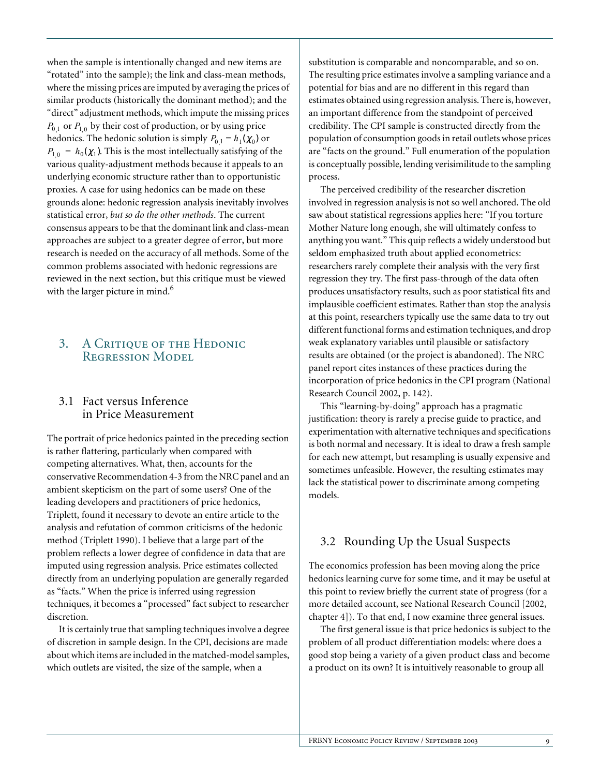when the sample is intentionally changed and new items are "rotated" into the sample); the link and class-mean methods, where the missing prices are imputed by averaging the prices of similar products (historically the dominant method); and the "direct" adjustment methods, which impute the missing prices  $P_{0,1}$  or  $P_{1,0}$  by their cost of production, or by using price hedonics. The hedonic solution is simply  $P_{0,1} = h_1(\chi_0)$  or  $P_{1,0} = h_0(\chi_1)$ . This is the most intellectually satisfying of the various quality-adjustment methods because it appeals to an underlying economic structure rather than to opportunistic proxies. A case for using hedonics can be made on these grounds alone: hedonic regression analysis inevitably involves statistical error, *but so do the other methods*. The current consensus appears to be that the dominant link and class-mean approaches are subject to a greater degree of error, but more research is needed on the accuracy of all methods. Some of the common problems associated with hedonic regressions are reviewed in the next section, but this critique must be viewed with the larger picture in mind.<sup>6</sup>

## 3. A Critique of the Hedonic Regression Model

#### 3.1 Fact versus Inference in Price Measurement

The portrait of price hedonics painted in the preceding section is rather flattering, particularly when compared with competing alternatives. What, then, accounts for the conservative Recommendation 4-3 from the NRC panel and an ambient skepticism on the part of some users? One of the leading developers and practitioners of price hedonics, Triplett, found it necessary to devote an entire article to the analysis and refutation of common criticisms of the hedonic method (Triplett 1990). I believe that a large part of the problem reflects a lower degree of confidence in data that are imputed using regression analysis. Price estimates collected directly from an underlying population are generally regarded as "facts." When the price is inferred using regression techniques, it becomes a "processed" fact subject to researcher discretion.

It is certainly true that sampling techniques involve a degree of discretion in sample design. In the CPI, decisions are made about which items are included in the matched-model samples, which outlets are visited, the size of the sample, when a

substitution is comparable and noncomparable, and so on. The resulting price estimates involve a sampling variance and a potential for bias and are no different in this regard than estimates obtained using regression analysis. There is, however, an important difference from the standpoint of perceived credibility. The CPI sample is constructed directly from the population of consumption goods in retail outlets whose prices are "facts on the ground." Full enumeration of the population is conceptually possible, lending verisimilitude to the sampling process.

The perceived credibility of the researcher discretion involved in regression analysis is not so well anchored. The old saw about statistical regressions applies here: "If you torture Mother Nature long enough, she will ultimately confess to anything you want." This quip reflects a widely understood but seldom emphasized truth about applied econometrics: researchers rarely complete their analysis with the very first regression they try. The first pass-through of the data often produces unsatisfactory results, such as poor statistical fits and implausible coefficient estimates. Rather than stop the analysis at this point, researchers typically use the same data to try out different functional forms and estimation techniques, and drop weak explanatory variables until plausible or satisfactory results are obtained (or the project is abandoned). The NRC panel report cites instances of these practices during the incorporation of price hedonics in the CPI program (National Research Council 2002, p. 142).

This "learning-by-doing" approach has a pragmatic justification: theory is rarely a precise guide to practice, and experimentation with alternative techniques and specifications is both normal and necessary. It is ideal to draw a fresh sample for each new attempt, but resampling is usually expensive and sometimes unfeasible. However, the resulting estimates may lack the statistical power to discriminate among competing models.

# 3.2 Rounding Up the Usual Suspects

The economics profession has been moving along the price hedonics learning curve for some time, and it may be useful at this point to review briefly the current state of progress (for a more detailed account, see National Research Council [2002, chapter 4]). To that end, I now examine three general issues.

The first general issue is that price hedonics is subject to the problem of all product differentiation models: where does a good stop being a variety of a given product class and become a product on its own? It is intuitively reasonable to group all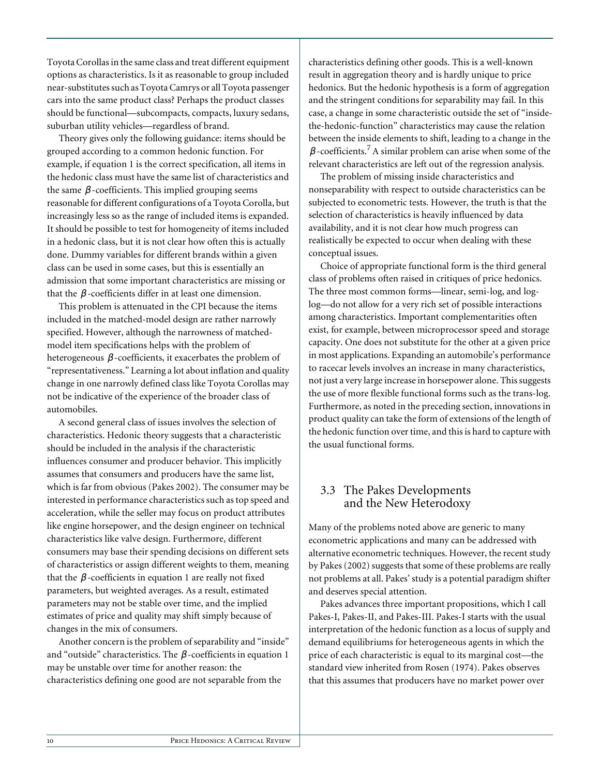Toyota Corollas in the same class and treat different equipment options as characteristics. Is it as reasonable to group included near-substitutes such as Toyota Camrys or all Toyota passenger cars into the same product class? Perhaps the product classes should be functional—subcompacts, compacts, luxury sedans, suburban utility vehicles—regardless of brand.

Theory gives only the following guidance: items should be grouped according to a common hedonic function. For example, if equation 1 is the correct specification, all items in the hedonic class must have the same list of characteristics and the same  $\beta$ -coefficients. This implied grouping seems reasonable for different configurations of a Toyota Corolla, but increasingly less so as the range of included items is expanded. It should be possible to test for homogeneity of items included in a hedonic class, but it is not clear how often this is actually done. Dummy variables for different brands within a given class can be used in some cases, but this is essentially an admission that some important characteristics are missing or that the  $\beta$  -coefficients differ in at least one dimension.

This problem is attenuated in the CPI because the items included in the matched-model design are rather narrowly specified. However, although the narrowness of matchedmodel item specifications helps with the problem of heterogeneous  $\beta$ -coefficients, it exacerbates the problem of "representativeness." Learning a lot about inflation and quality change in one narrowly defined class like Toyota Corollas may not be indicative of the experience of the broader class of automobiles.

A second general class of issues involves the selection of characteristics. Hedonic theory suggests that a characteristic should be included in the analysis if the characteristic influences consumer and producer behavior. This implicitly assumes that consumers and producers have the same list, which is far from obvious (Pakes 2002). The consumer may be interested in performance characteristics such as top speed and acceleration, while the seller may focus on product attributes like engine horsepower, and the design engineer on technical characteristics like valve design. Furthermore, different consumers may base their spending decisions on different sets of characteristics or assign different weights to them, meaning that the  $\beta$ -coefficients in equation 1 are really not fixed parameters, but weighted averages. As a result, estimated parameters may not be stable over time, and the implied estimates of price and quality may shift simply because of changes in the mix of consumers.

Another concern is the problem of separability and "inside" and "outside" characteristics. The  $\beta$  -coefficients in equation 1 may be unstable over time for another reason: the characteristics defining one good are not separable from the

characteristics defining other goods. This is a well-known result in aggregation theory and is hardly unique to price hedonics. But the hedonic hypothesis is a form of aggregation and the stringent conditions for separability may fail. In this case, a change in some characteristic outside the set of "insidethe-hedonic-function" characteristics may cause the relation between the inside elements to shift, leading to a change in the  $\beta$ -coefficients.<sup>7</sup> A similar problem can arise when some of the relevant characteristics are left out of the regression analysis.

The problem of missing inside characteristics and nonseparability with respect to outside characteristics can be subjected to econometric tests. However, the truth is that the selection of characteristics is heavily influenced by data availability, and it is not clear how much progress can realistically be expected to occur when dealing with these conceptual issues.

Choice of appropriate functional form is the third general class of problems often raised in critiques of price hedonics. The three most common forms—linear, semi-log, and loglog—do not allow for a very rich set of possible interactions among characteristics. Important complementarities often exist, for example, between microprocessor speed and storage capacity. One does not substitute for the other at a given price in most applications. Expanding an automobile's performance to racecar levels involves an increase in many characteristics, not just a very large increase in horsepower alone. This suggests the use of more flexible functional forms such as the trans-log. Furthermore, as noted in the preceding section, innovations in product quality can take the form of extensions of the length of the hedonic function over time, and this is hard to capture with the usual functional forms.

# 3.3 The Pakes Developments and the New Heterodoxy

Many of the problems noted above are generic to many econometric applications and many can be addressed with alternative econometric techniques. However, the recent study by Pakes (2002) suggests that some of these problems are really not problems at all. Pakes' study is a potential paradigm shifter and deserves special attention.

Pakes advances three important propositions, which I call Pakes-I, Pakes-II, and Pakes-III. Pakes-I starts with the usual interpretation of the hedonic function as a locus of supply and demand equilibriums for heterogeneous agents in which the price of each characteristic is equal to its marginal cost—the standard view inherited from Rosen (1974). Pakes observes that this assumes that producers have no market power over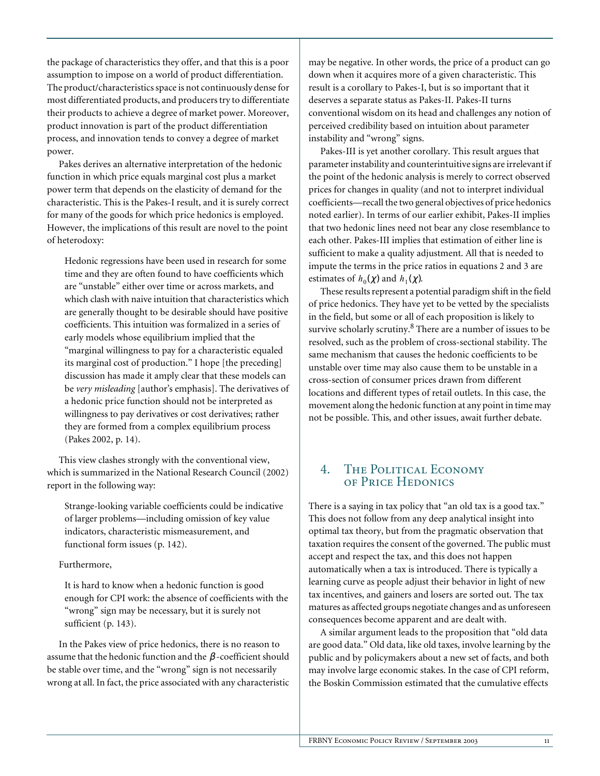the package of characteristics they offer, and that this is a poor assumption to impose on a world of product differentiation. The product/characteristics space is not continuously dense for most differentiated products, and producers try to differentiate their products to achieve a degree of market power. Moreover, product innovation is part of the product differentiation process, and innovation tends to convey a degree of market power.

Pakes derives an alternative interpretation of the hedonic function in which price equals marginal cost plus a market power term that depends on the elasticity of demand for the characteristic. This is the Pakes-I result, and it is surely correct for many of the goods for which price hedonics is employed. However, the implications of this result are novel to the point of heterodoxy:

Hedonic regressions have been used in research for some time and they are often found to have coefficients which are "unstable" either over time or across markets, and which clash with naive intuition that characteristics which are generally thought to be desirable should have positive coefficients. This intuition was formalized in a series of early models whose equilibrium implied that the "marginal willingness to pay for a characteristic equaled its marginal cost of production." I hope [the preceding] discussion has made it amply clear that these models can be *very misleading* [author's emphasis]. The derivatives of a hedonic price function should not be interpreted as willingness to pay derivatives or cost derivatives; rather they are formed from a complex equilibrium process (Pakes 2002, p. 14).

This view clashes strongly with the conventional view, which is summarized in the National Research Council (2002) report in the following way:

Strange-looking variable coefficients could be indicative of larger problems—including omission of key value indicators, characteristic mismeasurement, and functional form issues (p. 142).

#### Furthermore,

It is hard to know when a hedonic function is good enough for CPI work: the absence of coefficients with the "wrong" sign may be necessary, but it is surely not sufficient (p. 143).

In the Pakes view of price hedonics, there is no reason to assume that the hedonic function and the  $\beta$  -coefficient should be stable over time, and the "wrong" sign is not necessarily wrong at all. In fact, the price associated with any characteristic may be negative. In other words, the price of a product can go down when it acquires more of a given characteristic. This result is a corollary to Pakes-I, but is so important that it deserves a separate status as Pakes-II. Pakes-II turns conventional wisdom on its head and challenges any notion of perceived credibility based on intuition about parameter instability and "wrong" signs.

Pakes-III is yet another corollary. This result argues that parameter instability and counterintuitive signs are irrelevant if the point of the hedonic analysis is merely to correct observed prices for changes in quality (and not to interpret individual coefficients—recall the two general objectives of price hedonics noted earlier). In terms of our earlier exhibit, Pakes-II implies that two hedonic lines need not bear any close resemblance to each other. Pakes-III implies that estimation of either line is sufficient to make a quality adjustment. All that is needed to impute the terms in the price ratios in equations 2 and 3 are estimates of  $h_0(\chi)$  and  $h_1(\chi)$ .

These results represent a potential paradigm shift in the field of price hedonics. They have yet to be vetted by the specialists in the field, but some or all of each proposition is likely to survive scholarly scrutiny. $^8$  There are a number of issues to be resolved, such as the problem of cross-sectional stability. The same mechanism that causes the hedonic coefficients to be unstable over time may also cause them to be unstable in a cross-section of consumer prices drawn from different locations and different types of retail outlets. In this case, the movement along the hedonic function at any point in time may not be possible. This, and other issues, await further debate.

# 4. The Political Economy of Price Hedonics

There is a saying in tax policy that "an old tax is a good tax." This does not follow from any deep analytical insight into optimal tax theory, but from the pragmatic observation that taxation requires the consent of the governed. The public must accept and respect the tax, and this does not happen automatically when a tax is introduced. There is typically a learning curve as people adjust their behavior in light of new tax incentives, and gainers and losers are sorted out. The tax matures as affected groups negotiate changes and as unforeseen consequences become apparent and are dealt with.

A similar argument leads to the proposition that "old data are good data." Old data, like old taxes, involve learning by the public and by policymakers about a new set of facts, and both may involve large economic stakes. In the case of CPI reform, the Boskin Commission estimated that the cumulative effects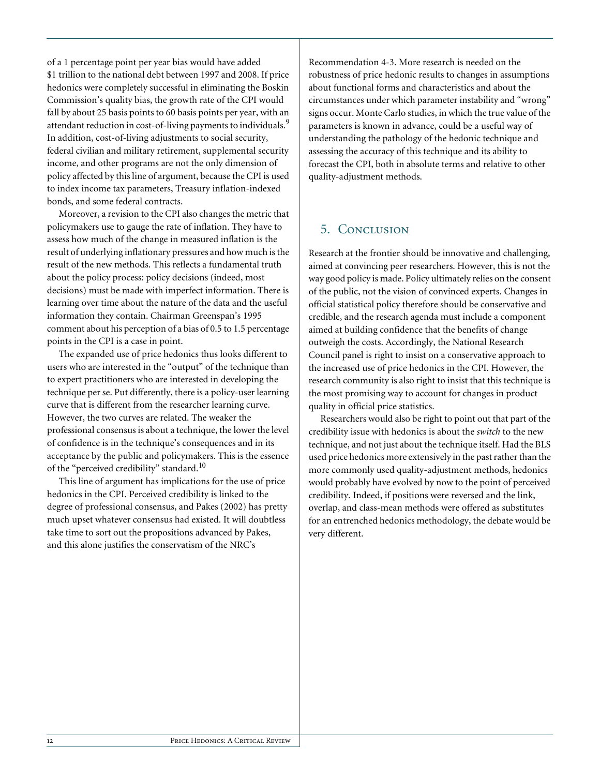of a 1 percentage point per year bias would have added \$1 trillion to the national debt between 1997 and 2008. If price hedonics were completely successful in eliminating the Boskin Commission's quality bias, the growth rate of the CPI would fall by about 25 basis points to 60 basis points per year, with an attendant reduction in cost-of-living payments to individuals.<sup>9</sup> In addition, cost-of-living adjustments to social security, federal civilian and military retirement, supplemental security income, and other programs are not the only dimension of policy affected by this line of argument, because the CPI is used to index income tax parameters, Treasury inflation-indexed bonds, and some federal contracts.

Moreover, a revision to the CPI also changes the metric that policymakers use to gauge the rate of inflation. They have to assess how much of the change in measured inflation is the result of underlying inflationary pressures and how much is the result of the new methods. This reflects a fundamental truth about the policy process: policy decisions (indeed, most decisions) must be made with imperfect information. There is learning over time about the nature of the data and the useful information they contain. Chairman Greenspan's 1995 comment about his perception of a bias of 0.5 to 1.5 percentage points in the CPI is a case in point.

The expanded use of price hedonics thus looks different to users who are interested in the "output" of the technique than to expert practitioners who are interested in developing the technique per se. Put differently, there is a policy-user learning curve that is different from the researcher learning curve. However, the two curves are related. The weaker the professional consensus is about a technique, the lower the level of confidence is in the technique's consequences and in its acceptance by the public and policymakers. This is the essence of the "perceived credibility" standard.<sup>10</sup>

This line of argument has implications for the use of price hedonics in the CPI. Perceived credibility is linked to the degree of professional consensus, and Pakes (2002) has pretty much upset whatever consensus had existed. It will doubtless take time to sort out the propositions advanced by Pakes, and this alone justifies the conservatism of the NRC's

Recommendation 4-3. More research is needed on the robustness of price hedonic results to changes in assumptions about functional forms and characteristics and about the circumstances under which parameter instability and "wrong" signs occur. Monte Carlo studies, in which the true value of the parameters is known in advance, could be a useful way of understanding the pathology of the hedonic technique and assessing the accuracy of this technique and its ability to forecast the CPI, both in absolute terms and relative to other quality-adjustment methods.

# 5. Conclusion

Research at the frontier should be innovative and challenging, aimed at convincing peer researchers. However, this is not the way good policy is made. Policy ultimately relies on the consent of the public, not the vision of convinced experts. Changes in official statistical policy therefore should be conservative and credible, and the research agenda must include a component aimed at building confidence that the benefits of change outweigh the costs. Accordingly, the National Research Council panel is right to insist on a conservative approach to the increased use of price hedonics in the CPI. However, the research community is also right to insist that this technique is the most promising way to account for changes in product quality in official price statistics.

Researchers would also be right to point out that part of the credibility issue with hedonics is about the *switch* to the new technique, and not just about the technique itself. Had the BLS used price hedonics more extensively in the past rather than the more commonly used quality-adjustment methods, hedonics would probably have evolved by now to the point of perceived credibility. Indeed, if positions were reversed and the link, overlap, and class-mean methods were offered as substitutes for an entrenched hedonics methodology, the debate would be very different.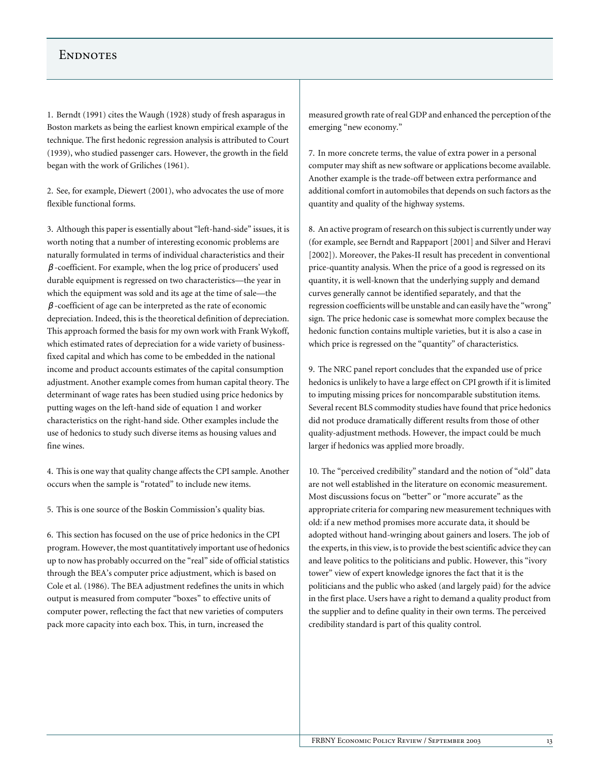#### **ENDNOTES**

1. Berndt (1991) cites the Waugh (1928) study of fresh asparagus in Boston markets as being the earliest known empirical example of the technique. The first hedonic regression analysis is attributed to Court (1939), who studied passenger cars. However, the growth in the field began with the work of Griliches (1961).

2. See, for example, Diewert (2001), who advocates the use of more flexible functional forms.

3. Although this paper is essentially about "left-hand-side" issues, it is worth noting that a number of interesting economic problems are naturally formulated in terms of individual characteristics and their  $\beta$  -coefficient. For example, when the log price of producers' used durable equipment is regressed on two characteristics—the year in which the equipment was sold and its age at the time of sale—the  $\beta$  -coefficient of age can be interpreted as the rate of economic depreciation. Indeed, this is the theoretical definition of depreciation. This approach formed the basis for my own work with Frank Wykoff, which estimated rates of depreciation for a wide variety of businessfixed capital and which has come to be embedded in the national income and product accounts estimates of the capital consumption adjustment. Another example comes from human capital theory. The determinant of wage rates has been studied using price hedonics by putting wages on the left-hand side of equation 1 and worker characteristics on the right-hand side. Other examples include the use of hedonics to study such diverse items as housing values and fine wines.

4. This is one way that quality change affects the CPI sample. Another occurs when the sample is "rotated" to include new items.

5. This is one source of the Boskin Commission's quality bias.

6. This section has focused on the use of price hedonics in the CPI program. However, the most quantitatively important use of hedonics up to now has probably occurred on the "real" side of official statistics through the BEA's computer price adjustment, which is based on Cole et al. (1986). The BEA adjustment redefines the units in which output is measured from computer "boxes" to effective units of computer power, reflecting the fact that new varieties of computers pack more capacity into each box. This, in turn, increased the

measured growth rate of real GDP and enhanced the perception of the emerging "new economy."

7. In more concrete terms, the value of extra power in a personal computer may shift as new software or applications become available. Another example is the trade-off between extra performance and additional comfort in automobiles that depends on such factors as the quantity and quality of the highway systems.

8. An active program of research on this subject is currently under way (for example, see Berndt and Rappaport [2001] and Silver and Heravi [2002]). Moreover, the Pakes-II result has precedent in conventional price-quantity analysis. When the price of a good is regressed on its quantity, it is well-known that the underlying supply and demand curves generally cannot be identified separately, and that the regression coefficients will be unstable and can easily have the "wrong" sign. The price hedonic case is somewhat more complex because the hedonic function contains multiple varieties, but it is also a case in which price is regressed on the "quantity" of characteristics.

9. The NRC panel report concludes that the expanded use of price hedonics is unlikely to have a large effect on CPI growth if it is limited to imputing missing prices for noncomparable substitution items. Several recent BLS commodity studies have found that price hedonics did not produce dramatically different results from those of other quality-adjustment methods. However, the impact could be much larger if hedonics was applied more broadly.

10. The "perceived credibility" standard and the notion of "old" data are not well established in the literature on economic measurement. Most discussions focus on "better" or "more accurate" as the appropriate criteria for comparing new measurement techniques with old: if a new method promises more accurate data, it should be adopted without hand-wringing about gainers and losers. The job of the experts, in this view, is to provide the best scientific advice they can and leave politics to the politicians and public. However, this "ivory tower" view of expert knowledge ignores the fact that it is the politicians and the public who asked (and largely paid) for the advice in the first place. Users have a right to demand a quality product from the supplier and to define quality in their own terms. The perceived credibility standard is part of this quality control.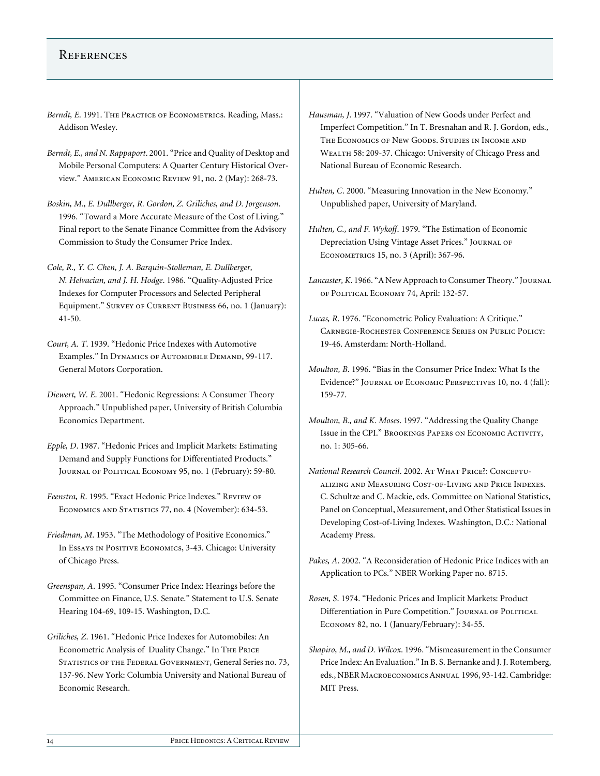#### **REFERENCES**

- Berndt, E. 1991. THE PRACTICE OF ECONOMETRICS. Reading, Mass.: Addison Wesley.
- *Berndt, E., and N. Rappaport*. 2001. "Price and Quality of Desktop and Mobile Personal Computers: A Quarter Century Historical Overview." American Economic Review 91, no. 2 (May): 268-73.
- *Boskin, M., E. Dullberger, R. Gordon, Z. Griliches, and D. Jorgenson*. 1996. "Toward a More Accurate Measure of the Cost of Living." Final report to the Senate Finance Committee from the Advisory Commission to Study the Consumer Price Index.
- *Cole, R., Y. C. Chen, J. A. Barquin-Stolleman, E. Dullberger, N. Helvacian, and J. H. Hodge*. 1986. "Quality-Adjusted Price Indexes for Computer Processors and Selected Peripheral Equipment." Survey of Current Business 66, no. 1 (January): 41-50.
- *Court, A. T*. 1939. "Hedonic Price Indexes with Automotive Examples." In Dynamics of Automobile Demand, 99-117. General Motors Corporation.
- *Diewert, W. E*. 2001. "Hedonic Regressions: A Consumer Theory Approach." Unpublished paper, University of British Columbia Economics Department.
- *Epple, D*. 1987. "Hedonic Prices and Implicit Markets: Estimating Demand and Supply Functions for Differentiated Products." Journal of Political Economy 95, no. 1 (February): 59-80.
- *Feenstra, R*. 1995. "Exact Hedonic Price Indexes." Review of ECONOMICS AND STATISTICS 77, no. 4 (November): 634-53.
- *Friedman, M*. 1953. "The Methodology of Positive Economics." In Essays in Positive Economics, 3-43. Chicago: University of Chicago Press.
- *Greenspan, A*. 1995. "Consumer Price Index: Hearings before the Committee on Finance, U.S. Senate." Statement to U.S. Senate Hearing 104-69, 109-15. Washington, D.C.
- *Griliches, Z*. 1961. "Hedonic Price Indexes for Automobiles: An Econometric Analysis of Duality Change." In The Price STATISTICS OF THE FEDERAL GOVERNMENT, General Series no. 73, 137-96. New York: Columbia University and National Bureau of Economic Research.
- *Hausman, J*. 1997. "Valuation of New Goods under Perfect and Imperfect Competition." In T. Bresnahan and R. J. Gordon, eds., The Economics of New Goods. Studies in Income and WEALTH 58: 209-37. Chicago: University of Chicago Press and National Bureau of Economic Research.
- *Hulten, C*. 2000. "Measuring Innovation in the New Economy." Unpublished paper, University of Maryland.
- *Hulten, C., and F. Wykoff*. 1979. "The Estimation of Economic Depreciation Using Vintage Asset Prices." Journal of Econometrics 15, no. 3 (April): 367-96.
- *Lancaster, K*. 1966. "A New Approach to Consumer Theory." Journal of Political Economy 74, April: 132-57.
- *Lucas, R*. 1976. "Econometric Policy Evaluation: A Critique." Carnegie-Rochester Conference Series on Public Policy: 19-46. Amsterdam: North-Holland.
- *Moulton, B*. 1996. "Bias in the Consumer Price Index: What Is the Evidence?" Journal of Economic Perspectives 10, no. 4 (fall): 159-77.
- *Moulton, B., and K. Moses*. 1997. "Addressing the Quality Change Issue in the CPI." Brookings Papers on Economic Activity, no. 1: 305-66.
- *National Research Council.* 2002. AT WHAT PRICE?: CONCEPTUalizing and Measuring Cost-of-Living and Price Indexes. C. Schultze and C. Mackie, eds. Committee on National Statistics, Panel on Conceptual, Measurement, and Other Statistical Issues in Developing Cost-of-Living Indexes. Washington, D.C.: National Academy Press.
- *Pakes, A*. 2002. "A Reconsideration of Hedonic Price Indices with an Application to PCs." NBER Working Paper no. 8715.
- *Rosen, S*. 1974. "Hedonic Prices and Implicit Markets: Product Differentiation in Pure Competition." JOURNAL OF POLITICAL Economy 82, no. 1 (January/February): 34-55.
- *Shapiro, M., and D. Wilcox*. 1996. "Mismeasurement in the Consumer Price Index: An Evaluation." In B. S. Bernanke and J. J. Rotemberg, eds., NBER Macroeconomics Annual 1996, 93-142. Cambridge: MIT Press.